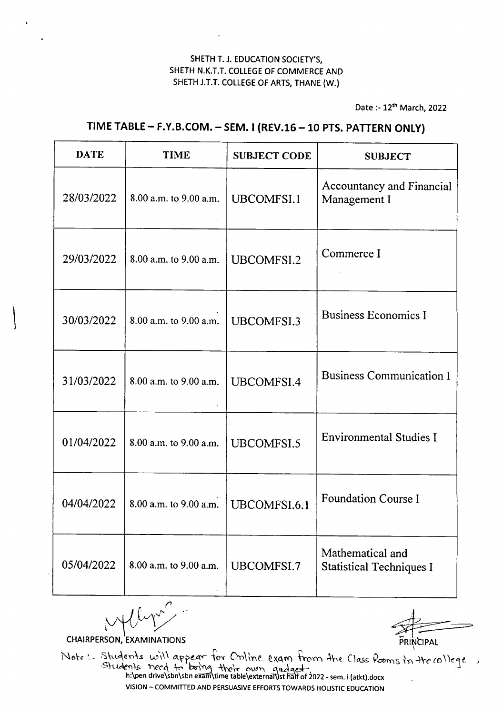Date :- 12<sup>th</sup> March, 2022

# TIME TABLE- F.Y.B.COM. - SEM. I (REV.16 -10 PTS. PATTERN ONLY)

| <b>DATE</b> | <b>TIME</b>            | <b>SUBJECT CODE</b> | <b>SUBJECT</b>                                      |
|-------------|------------------------|---------------------|-----------------------------------------------------|
| 28/03/2022  | 8.00 a.m. to 9.00 a.m. | UBCOMFSI.1          | Accountancy and Financial<br>Management I           |
| 29/03/2022  | 8.00 a.m. to 9.00 a.m. | UBCOMFSI.2          | Commerce I                                          |
| 30/03/2022  | 8.00 a.m. to 9.00 a.m. | UBCOMFSI.3          | <b>Business Economics I</b>                         |
| 31/03/2022  | 8.00 a.m. to 9.00 a.m. | UBCOMFSI.4          | <b>Business Communication I</b>                     |
| 01/04/2022  | 8.00 a.m. to 9.00 a.m. | UBCOMFSI.5          | <b>Environmental Studies I</b>                      |
| 04/04/2022  | 8.00 a.m. to 9.00 a.m. | UBCOMFSI.6.1        | <b>Foundation Course I</b>                          |
| 05/04/2022  | 8.00 a.m. to 9.00 a.m. | UBCOMFSI.7          | Mathematical and<br><b>Statistical Techniques I</b> |

*f'*  $~\sim$   $~\rightarrow$ 

CHAIRPERSON, EXAMINATIONS **PRINCIPAL** 

 $\bigg\}$ 

Note: Students will appear for Online exam from the Class Rooms in the college VISION - COMMITTED AND PERSUASIVEEFFORTSTOWARDS HOLISTIC EDUCATION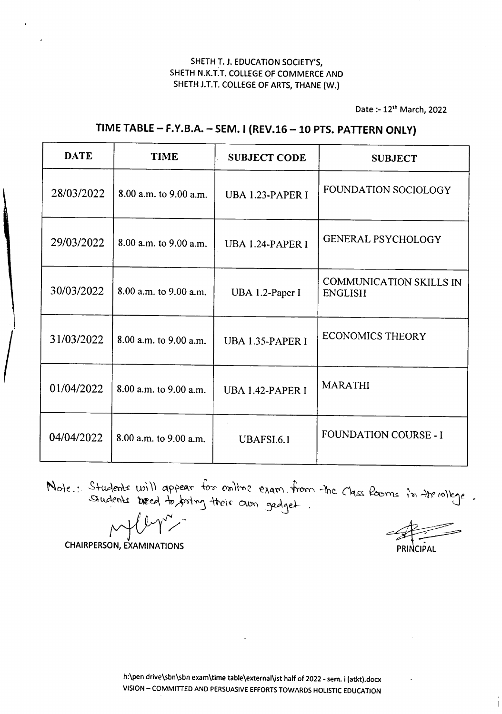Date :- 12<sup>th</sup> March, 2022

# DATE | TIME | SUBJECT CODE | SUBJECT

# TIME TABLE- F.Y.B.A. - SEM.I (REV.16 -10 PTS. PATTERN ONLY)

| 28/03/2022 | 8.00 a.m. to 9.00 a.m. | UBA 1.23-PAPER I        | FOUNDATION SOCIOLOGY                      |
|------------|------------------------|-------------------------|-------------------------------------------|
| 29/03/2022 | 8.00 a.m. to 9.00 a.m. | <b>UBA 1.24-PAPER I</b> | GENERAL PSYCHOLOGY                        |
| 30/03/2022 | 8.00 a.m. to 9.00 a.m. | UBA 1.2-Paper I         | COMMUNICATION SKILLS IN<br><b>ENGLISH</b> |
| 31/03/2022 | 8.00 a.m. to 9.00 a.m. | UBA 1.35-PAPER I        | <b>ECONOMICS THEORY</b>                   |
| 01/04/2022 | 8.00 a.m. to 9.00 a.m. | <b>UBA 1.42-PAPER I</b> | <b>MARATHI</b>                            |
| 04/04/2022 | 8.00 a.m. to 9.00 a.m. | UBAFSI.6.1              | <b>FOUNDATION COURSE - I</b>              |

Note : Students will appear for online exam from the Class Rooms in the rollege.

**CHAIRPERSON, EXAMINATIONS** 

PRINCIPAL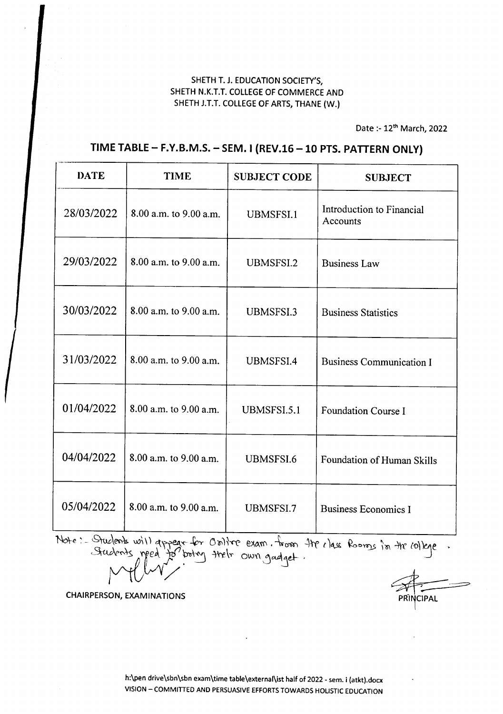Date :- 12<sup>th</sup> March, 2022

# TIME TABLE - F.Y.B.M.S. - SEM. I (REV.16 - 10 PTS. PATTERN ONLY)

| <b>DATE</b> | <b>TIME</b>            | <b>SUBJECT CODE</b> | <b>SUBJECT</b>                        |
|-------------|------------------------|---------------------|---------------------------------------|
| 28/03/2022  | 8.00 a.m. to 9.00 a.m. | <b>UBMSFSI.1</b>    | Introduction to Financial<br>Accounts |
| 29/03/2022  | 8.00 a.m. to 9.00 a.m. | UBMSFSI.2           | <b>Business Law</b>                   |
| 30/03/2022  | 8.00 a.m. to 9.00 a.m. | <b>UBMSFSI.3</b>    | <b>Business Statistics</b>            |
| 31/03/2022  | 8.00 a.m. to 9.00 a.m. | UBMSFSI.4           | <b>Business Communication I</b>       |
| 01/04/2022  | 8.00 a.m. to 9.00 a.m. | UBMSFSI.5.1         | <b>Foundation Course I</b>            |
| 04/04/2022  | 8.00 a.m. to 9.00 a.m. | UBMSFSI.6           | Foundation of Human Skills            |
| 05/04/2022  | 8.00 a.m. to 9.00 a.m. | UBMSFSI.7           | <b>Business Economics I</b>           |

Note: - Students will appear for Online exam. from the class Rooms in the college

CHAIRPERSON, EXAMINATIONS

**CIPAL**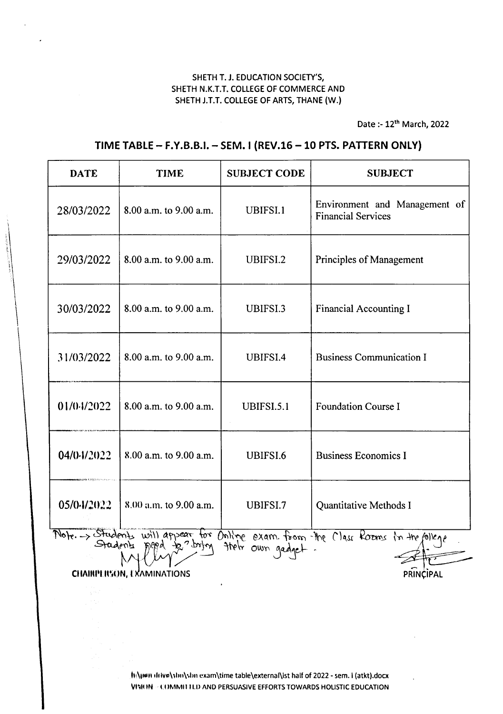Date :- 12th March, 2022

# TIME TABLE- F.Y.B.B.i. - SEM. I (REV.16 -10 PTS. PATTERN ONLY)

| <b>DATE</b> | <b>TIME</b>                      | <b>SUBJECT CODE</b> | <b>SUBJECT</b>                                                                     |
|-------------|----------------------------------|---------------------|------------------------------------------------------------------------------------|
| 28/03/2022  | 8.00 a.m. to 9.00 a.m.           | UBIFSI.1            | Environment and Management of<br><b>Financial Services</b>                         |
| 29/03/2022  | 8.00 a.m. to 9.00 a.m.           | UBIFSI.2            | Principles of Management                                                           |
| 30/03/2022  | 8.00 a.m. to 9.00 a.m.           | UBIFSI.3            | <b>Financial Accounting I</b>                                                      |
| 31/03/2022  | 8.00 a.m. to 9.00 a.m.           | UBIFSI.4            | <b>Business Communication I</b>                                                    |
| 01/0.1/2022 | 8.00 a.m. to 9.00 a.m.           | UBIFSI.5.1          | Foundation Course I                                                                |
| 04/04/2022  | 8.00 a.m. to 9.00 a.m.           | UBIFSI.6            | <b>Business Economics I</b>                                                        |
| 05/04/2022  | 8.00 a.m. to 9.00 a.m.           | UBIFSI.7            | Quantitative Methods I                                                             |
|             |                                  | thely own gadget    | Mote. -> Students will appear for Online exam. from the Class Rooms in the follege |
|             | <b>CHAIRPERSON, EXAMINATIONS</b> |                     |                                                                                    |
|             |                                  |                     | PRINCIPAL                                                                          |

 $\mathbf{I}$ 

helium drivelsim\sim exam\time table\external\ist half of 2022 - sem. i (atkt).docx VISION - COMMITTED AND PERSUASIVE EFFORTS TOWARDS HOLISTIC EDUCATION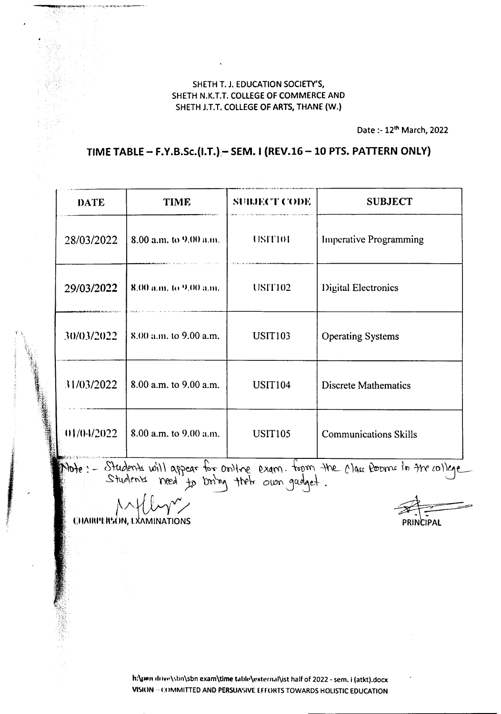Date :- 12<sup>th</sup> March, 2022

## TIME TABLE - F.Y.B.Sc.(I.T.) - SEM. I (REV.16 - 10 PTS. PATTERN ONLY)

| <b>DATE</b>                    | <b>TIME</b>            | <b>SUBJECT CODE</b> | <b>SUBJECT</b>                |
|--------------------------------|------------------------|---------------------|-------------------------------|
| 28/03/2022                     | 8.00 a.m. to 9.00 a.m. | USIT101             | <b>Imperative Programming</b> |
| 29/03/2022                     | 8,00 a.m. to 9,00 a.m. | <b>USIT102</b>      | Digital Electronics           |
| 30/03/2022                     | 8.00 a.m. to 9.00 a.m. | <b>USIT103</b>      | <b>Operating Systems</b>      |
| 31/03/2022                     | 8.00 a.m. to 9.00 a.m. | <b>USIT104</b>      | <b>Discrete Mathematics</b>   |
| 01/04/2022<br>医安倍 货币的现在分词 计分配机 | 8.00 a.m. to 9.00 a.m. | <b>USIT105</b>      | <b>Communications Skills</b>  |

Note: - Students will appear for online exam. toom the class pooms in the college

**CHAIRPERSON, EXAMINATIONS** 

PRINCIPAL

h:\jien drivn\sbn\sbn exam\time table\external\ist half of 2022 - sem. i (atkt).docx VISION - COMMITTED AND PERSUASIVE EFFORTS TOWARDS HOLISTIC EDUCATION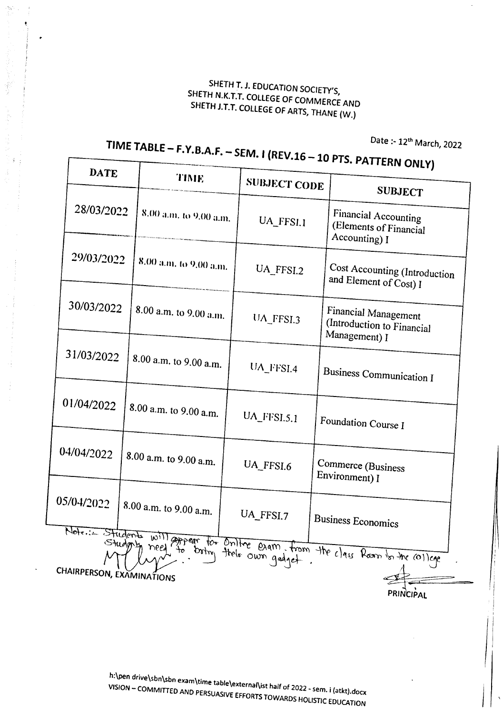Date :- 12<sup>th</sup> March, 2022

# $T_{\text{max}}$   $T_{\text{max}}$   $T_{\text{max}}$   $T_{\text{max}}$   $T_{\text{max}}$   $T_{\text{max}}$   $T_{\text{max}}$

ſ

| <b>TIME</b><br><b>SUBJECT CODE</b><br><b>SUBJECT</b><br>28/03/2022<br>8.00 a.m. to 9.00 a.m.<br>Financial Accounting<br>UA_FFSI.1<br>(Elements of Financial<br>Accounting) I<br>29/03/2022<br>8.00 a.m. to 9.00 a.m.<br>Cost Accounting (Introduction<br>UA_FFSI.2<br>and Element of Cost) I<br>30/03/2022<br>8.00 a.m. to 9.00 a.m.<br><b>Financial Management</b><br>UA_FFSI.3<br>(Introduction to Financial<br>Management) I<br>31/03/2022<br>8.00 a.m. to 9.00 a.m.<br>UA_FFSI.4<br>Business Communication I<br>01/04/2022<br>8.00 a.m. to 9.00 a.m.<br>$UA$ <sub>FFSI.5.1</sub><br>Foundation Course I<br>04/04/2022<br>8.00 a.m. to 9.00 a.m.<br>Commerce (Business<br>UA_FFSI.6<br>Environment) I<br>05/04/2022<br>8.00 a.m. to 9.00 a.m.<br>UA_FFSI.7<br><b>Business Economics</b><br>Note: Students will appear for Online exam, from the class Room for the college<br>thelo own gadget.<br>CHAIRPERSON, EXAMINATIONS |  | <b>DATE</b> |  |  |  | $\cdots$ only    |  |
|---------------------------------------------------------------------------------------------------------------------------------------------------------------------------------------------------------------------------------------------------------------------------------------------------------------------------------------------------------------------------------------------------------------------------------------------------------------------------------------------------------------------------------------------------------------------------------------------------------------------------------------------------------------------------------------------------------------------------------------------------------------------------------------------------------------------------------------------------------------------------------------------------------------------------------|--|-------------|--|--|--|------------------|--|
|                                                                                                                                                                                                                                                                                                                                                                                                                                                                                                                                                                                                                                                                                                                                                                                                                                                                                                                                 |  |             |  |  |  |                  |  |
|                                                                                                                                                                                                                                                                                                                                                                                                                                                                                                                                                                                                                                                                                                                                                                                                                                                                                                                                 |  |             |  |  |  |                  |  |
|                                                                                                                                                                                                                                                                                                                                                                                                                                                                                                                                                                                                                                                                                                                                                                                                                                                                                                                                 |  |             |  |  |  |                  |  |
|                                                                                                                                                                                                                                                                                                                                                                                                                                                                                                                                                                                                                                                                                                                                                                                                                                                                                                                                 |  |             |  |  |  |                  |  |
|                                                                                                                                                                                                                                                                                                                                                                                                                                                                                                                                                                                                                                                                                                                                                                                                                                                                                                                                 |  |             |  |  |  |                  |  |
|                                                                                                                                                                                                                                                                                                                                                                                                                                                                                                                                                                                                                                                                                                                                                                                                                                                                                                                                 |  |             |  |  |  |                  |  |
|                                                                                                                                                                                                                                                                                                                                                                                                                                                                                                                                                                                                                                                                                                                                                                                                                                                                                                                                 |  |             |  |  |  |                  |  |
|                                                                                                                                                                                                                                                                                                                                                                                                                                                                                                                                                                                                                                                                                                                                                                                                                                                                                                                                 |  |             |  |  |  |                  |  |
|                                                                                                                                                                                                                                                                                                                                                                                                                                                                                                                                                                                                                                                                                                                                                                                                                                                                                                                                 |  |             |  |  |  | <b>PRINCIPAL</b> |  |

h:\pen drive\sbn\sbn exam\time table\external\ist half of 2022 - sem. i (atkt).docx VISION - COMMITIED AND PERSUASIVE EFFORTSTOWARDS HOLISTIC EDUCATION